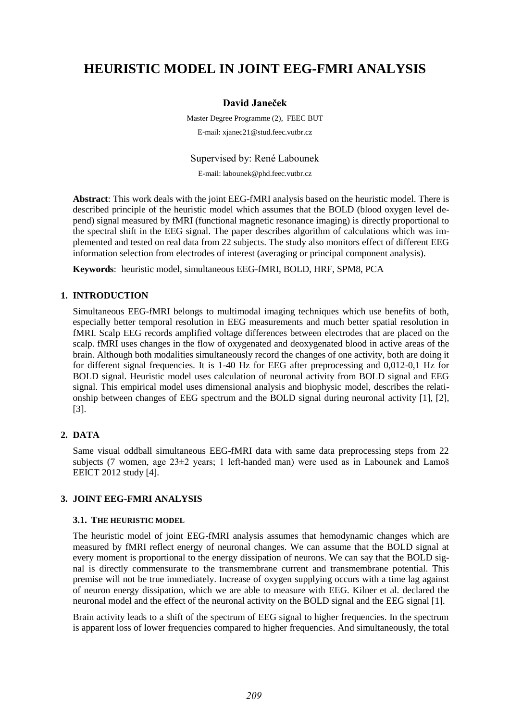# **HEURISTIC MODEL IN JOINT EEG-FMRI ANALYSIS**

# **David Janeček**

Master Degree Programme (2), FEEC BUT E-mail: xjanec21@stud.feec.vutbr.cz

Supervised by: René Labounek

E-mail: labounek@phd.feec.vutbr.cz

**Abstract**: This work deals with the joint EEG-fMRI analysis based on the heuristic model. There is described principle of the heuristic model which assumes that the BOLD (blood oxygen level depend) signal measured by fMRI (functional magnetic resonance imaging) is directly proportional to the spectral shift in the EEG signal. The paper describes algorithm of calculations which was implemented and tested on real data from 22 subjects. The study also monitors effect of different EEG information selection from electrodes of interest (averaging or principal component analysis).

**Keywords**: heuristic model, simultaneous EEG-fMRI, BOLD, HRF, SPM8, PCA

### **1. INTRODUCTION**

Simultaneous EEG-fMRI belongs to multimodal imaging techniques which use benefits of both, especially better temporal resolution in EEG measurements and much better spatial resolution in fMRI. Scalp EEG records amplified voltage differences between electrodes that are placed on the scalp. fMRI uses changes in the flow of oxygenated and deoxygenated blood in active areas of the brain. Although both modalities simultaneously record the changes of one activity, both are doing it for different signal frequencies. It is 1-40 Hz for EEG after preprocessing and 0,012-0,1 Hz for BOLD signal. Heuristic model uses calculation of neuronal activity from BOLD signal and EEG signal. This empirical model uses dimensional analysis and biophysic model, describes the relationship between changes of EEG spectrum and the BOLD signal during neuronal activity [1], [2], [3].

## **2. DATA**

Same visual oddball simultaneous EEG-fMRI data with same data preprocessing steps from 22 subjects (7 women, age  $23\pm2$  years; 1 left-handed man) were used as in Labounek and Lamoš EEICT 2012 study [4].

### **3. JOINT EEG-FMRI ANALYSIS**

### **3.1. THE HEURISTIC MODEL**

The heuristic model of joint EEG-fMRI analysis assumes that hemodynamic changes which are measured by fMRI reflect energy of neuronal changes. We can assume that the BOLD signal at every moment is proportional to the energy dissipation of neurons. We can say that the BOLD signal is directly commensurate to the transmembrane current and transmembrane potential. This premise will not be true immediately. Increase of oxygen supplying occurs with a time lag against of neuron energy dissipation, which we are able to measure with EEG. Kilner et al. declared the neuronal model and the effect of the neuronal activity on the BOLD signal and the EEG signal [1].

Brain activity leads to a shift of the spectrum of EEG signal to higher frequencies. In the spectrum is apparent loss of lower frequencies compared to higher frequencies. And simultaneously, the total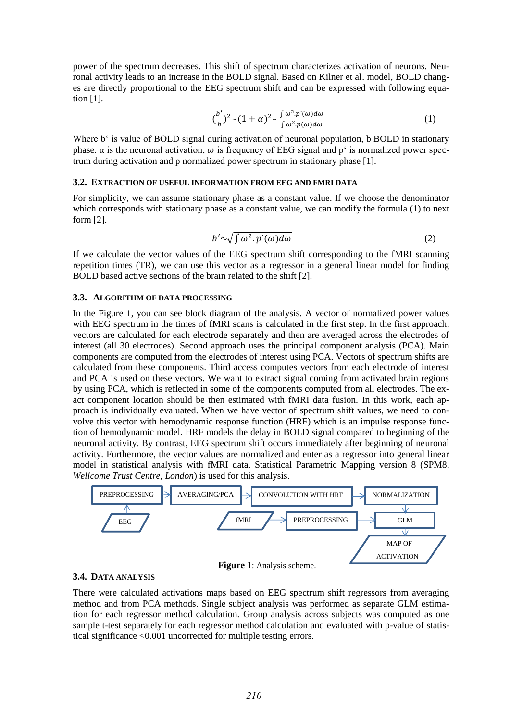power of the spectrum decreases. This shift of spectrum characterizes activation of neurons. Neuronal activity leads to an increase in the BOLD signal. Based on Kilner et al. model, BOLD changes are directly proportional to the EEG spectrum shift and can be expressed with following equation [1].

$$
\left(\frac{b'}{b}\right)^2 \sim (1+\alpha)^2 \sim \frac{\int \omega^2 \cdot p'(\omega) d\omega}{\int \omega^2 \cdot p(\omega) d\omega} \tag{1}
$$

Where b<sup>e</sup> is value of BOLD signal during activation of neuronal population, b BOLD in stationary phase.  $\alpha$  is the neuronal activation,  $\omega$  is frequency of EEG signal and p' is normalized power spectrum during activation and p normalized power spectrum in stationary phase [1].

#### **3.2. EXTRACTION OF USEFUL INFORMATION FROM EEG AND FMRI DATA**

For simplicity, we can assume stationary phase as a constant value. If we choose the denominator which corresponds with stationary phase as a constant value, we can modify the formula (1) to next form [2].

$$
b' \sim \sqrt{\int \omega^2 . p'(\omega) d\omega} \tag{2}
$$

If we calculate the vector values of the EEG spectrum shift corresponding to the fMRI scanning repetition times (TR), we can use this vector as a regressor in a general linear model for finding BOLD based active sections of the brain related to the shift [2].

#### **3.3. ALGORITHM OF DATA PROCESSING**

In the Figure 1, you can see block diagram of the analysis. A vector of normalized power values with EEG spectrum in the times of fMRI scans is calculated in the first step. In the first approach, vectors are calculated for each electrode separately and then are averaged across the electrodes of interest (all 30 electrodes). Second approach uses the principal component analysis (PCA). Main components are computed from the electrodes of interest using PCA. Vectors of spectrum shifts are calculated from these components. Third access computes vectors from each electrode of interest and PCA is used on these vectors. We want to extract signal coming from activated brain regions by using PCA, which is reflected in some of the components computed from all electrodes. The exact component location should be then estimated with fMRI data fusion. In this work, each approach is individually evaluated. When we have vector of spectrum shift values, we need to convolve this vector with hemodynamic response function (HRF) which is an impulse response function of hemodynamic model. HRF models the delay in BOLD signal compared to beginning of the neuronal activity. By contrast, EEG spectrum shift occurs immediately after beginning of neuronal activity. Furthermore, the vector values are normalized and enter as a regressor into general linear model in statistical analysis with fMRI data. Statistical Parametric Mapping version 8 (SPM8, *Wellcome Trust Centre, London*) is used for this analysis.



#### **3.4. DATA ANALYSIS**

There were calculated activations maps based on EEG spectrum shift regressors from averaging method and from PCA methods. Single subject analysis was performed as separate GLM estimation for each regressor method calculation. Group analysis across subjects was computed as one sample t-test separately for each regressor method calculation and evaluated with p-value of statistical significance <0.001 uncorrected for multiple testing errors.